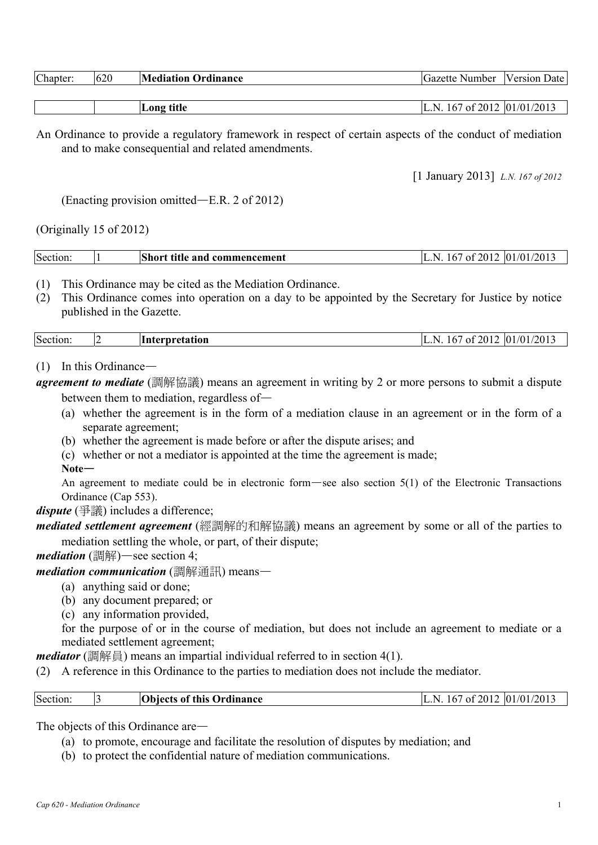| Chapter: | 620 | <b>Mediation Ordinance</b> | Gazette<br>: Number | <b>Version Date</b> |
|----------|-----|----------------------------|---------------------|---------------------|
|          |     |                            |                     |                     |

|  | $\sim$ $\sim$<br>LOII)<br>иш | 20.1<br>$\overline{0}$<br>$\sqrt{ }$<br>201<br>N<br>ΩŤ<br>n<br>40 L<br>. . |
|--|------------------------------|----------------------------------------------------------------------------|
|--|------------------------------|----------------------------------------------------------------------------|

An Ordinance to provide a regulatory framework in respect of certain aspects of the conduct of mediation and to make consequential and related amendments.

[1 January 2013] *L.N. 167 of 2012* 

(Enacting provision omitted—E.R. 2 of 2012)

(Originally 15 of 2012)

| Section: |  | <b>Short title and commencement</b> | L.N. 167 of 2012 $ 01/01/2013 $ |  |
|----------|--|-------------------------------------|---------------------------------|--|
|----------|--|-------------------------------------|---------------------------------|--|

- (1) This Ordinance may be cited as the Mediation Ordinance.
- (2) This Ordinance comes into operation on a day to be appointed by the Secretary for Justice by notice published in the Gazette.

| Section | . . | <b>Interpretation</b> | ↘ | . F | f 2012<br>ΩŤ | $^{7}$ (01)<br>$\overline{01}$<br>/2013 |
|---------|-----|-----------------------|---|-----|--------------|-----------------------------------------|
|---------|-----|-----------------------|---|-----|--------------|-----------------------------------------|

### (1) In this Ordinance—

*agreement to mediate* (調解協議) means an agreement in writing by 2 or more persons to submit a dispute between them to mediation, regardless of—

- (a) whether the agreement is in the form of a mediation clause in an agreement or in the form of a separate agreement;
- (b) whether the agreement is made before or after the dispute arises; and
- (c) whether or not a mediator is appointed at the time the agreement is made;
- **Note**—

An agreement to mediate could be in electronic form—see also section 5(1) of the Electronic Transactions Ordinance (Cap 553).

*dispute* (爭議) includes a difference;

*mediated settlement agreement* (經調解的和解協議) means an agreement by some or all of the parties to mediation settling the whole, or part, of their dispute;

*mediation* (調解)—see section 4;

*mediation communication* (調解通訊) means—

- (a) anything said or done;
- (b) any document prepared; or
- (c) any information provided,

 for the purpose of or in the course of mediation, but does not include an agreement to mediate or a mediated settlement agreement;

*mediator* (調解員) means an impartial individual referred to in section 4(1).

(2) A reference in this Ordinance to the parties to mediation does not include the mediator.

| Section:<br> 01/01/2013<br>$\degree$ 2012<br><b>Objects of this Ordinance</b><br>N<br>167<br>- of |
|---------------------------------------------------------------------------------------------------|
|---------------------------------------------------------------------------------------------------|

The objects of this Ordinance are—

- (a) to promote, encourage and facilitate the resolution of disputes by mediation; and
- (b) to protect the confidential nature of mediation communications.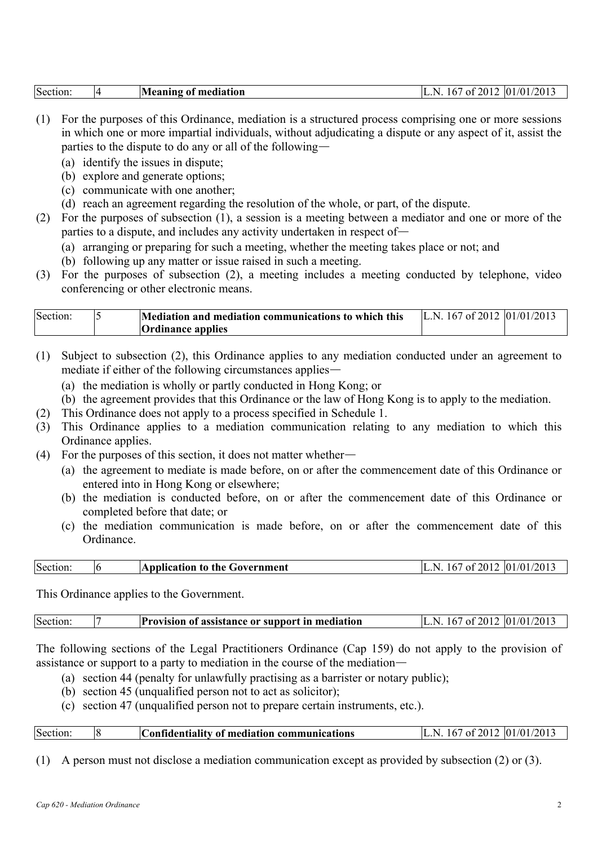| Section: |  | Meaning of mediation | of 2012<br>N<br>I b | 01/01/2013 |
|----------|--|----------------------|---------------------|------------|
|----------|--|----------------------|---------------------|------------|

- (1) For the purposes of this Ordinance, mediation is a structured process comprising one or more sessions in which one or more impartial individuals, without adjudicating a dispute or any aspect of it, assist the parties to the dispute to do any or all of the following—
	- (a) identify the issues in dispute;
	- (b) explore and generate options;
	- (c) communicate with one another;
	- (d) reach an agreement regarding the resolution of the whole, or part, of the dispute.
- (2) For the purposes of subsection (1), a session is a meeting between a mediator and one or more of the parties to a dispute, and includes any activity undertaken in respect of—
	- (a) arranging or preparing for such a meeting, whether the meeting takes place or not; and
	- (b) following up any matter or issue raised in such a meeting.
- (3) For the purposes of subsection (2), a meeting includes a meeting conducted by telephone, video conferencing or other electronic means.

| Section: | Mediation and mediation communications to which this | L.N. 167 of 2012 $ 01/01/2013$ |  |
|----------|------------------------------------------------------|--------------------------------|--|
|          | <b>Ordinance applies</b>                             |                                |  |

- (1) Subject to subsection (2), this Ordinance applies to any mediation conducted under an agreement to mediate if either of the following circumstances applies—
	- (a) the mediation is wholly or partly conducted in Hong Kong; or
	- (b) the agreement provides that this Ordinance or the law of Hong Kong is to apply to the mediation.
- (2) This Ordinance does not apply to a process specified in Schedule 1.
- (3) This Ordinance applies to a mediation communication relating to any mediation to which this Ordinance applies.
- (4) For the purposes of this section, it does not matter whether—
	- (a) the agreement to mediate is made before, on or after the commencement date of this Ordinance or entered into in Hong Kong or elsewhere;
	- (b) the mediation is conducted before, on or after the commencement date of this Ordinance or completed before that date; or
	- (c) the mediation communication is made before, on or after the commencement date of this Ordinance.

| Section: | <b>Application to the Government</b> | 167<br>N. | 7 of 2012   01/01/2013 |
|----------|--------------------------------------|-----------|------------------------|
|          |                                      |           |                        |

This Ordinance applies to the Government.

The following sections of the Legal Practitioners Ordinance (Cap 159) do not apply to the provision of assistance or support to a party to mediation in the course of the mediation—

- (a) section 44 (penalty for unlawfully practising as a barrister or notary public);
- (b) section 45 (unqualified person not to act as solicitor);
- (c) section 47 (unqualified person not to prepare certain instruments, etc.).

| Section: |  | Confidentiality of mediation communications | L.N. 167 of 2012 $ 01/01/2013$ |
|----------|--|---------------------------------------------|--------------------------------|
|----------|--|---------------------------------------------|--------------------------------|

(1) A person must not disclose a mediation communication except as provided by subsection (2) or (3).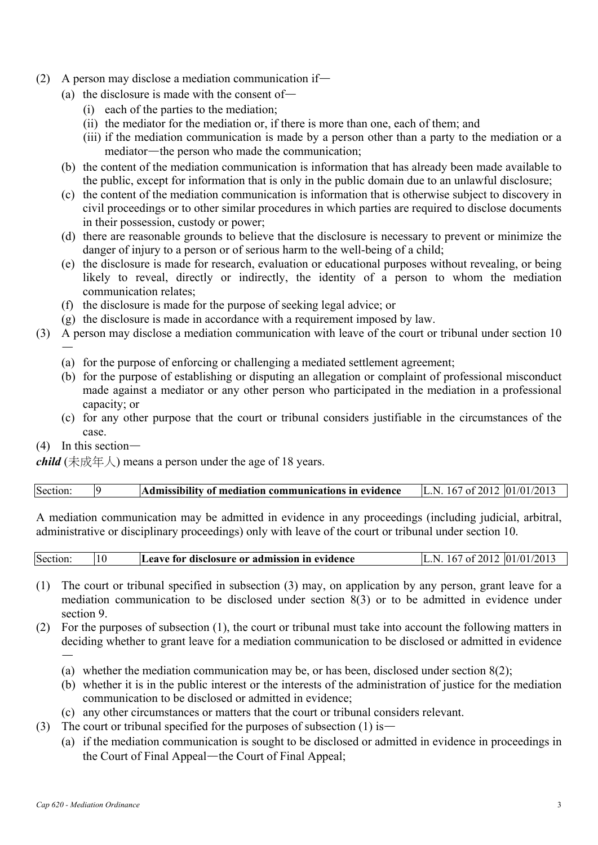- (2) A person may disclose a mediation communication if—
	- (a) the disclosure is made with the consent of—
		- (i) each of the parties to the mediation;
		- (ii) the mediator for the mediation or, if there is more than one, each of them; and
		- (iii) if the mediation communication is made by a person other than a party to the mediation or a mediator—the person who made the communication;
	- (b) the content of the mediation communication is information that has already been made available to the public, except for information that is only in the public domain due to an unlawful disclosure;
	- (c) the content of the mediation communication is information that is otherwise subject to discovery in civil proceedings or to other similar procedures in which parties are required to disclose documents in their possession, custody or power;
	- (d) there are reasonable grounds to believe that the disclosure is necessary to prevent or minimize the danger of injury to a person or of serious harm to the well-being of a child;
	- (e) the disclosure is made for research, evaluation or educational purposes without revealing, or being likely to reveal, directly or indirectly, the identity of a person to whom the mediation communication relates;
	- (f) the disclosure is made for the purpose of seeking legal advice; or
	- (g) the disclosure is made in accordance with a requirement imposed by law.
- (3) A person may disclose a mediation communication with leave of the court or tribunal under section 10
	- (a) for the purpose of enforcing or challenging a mediated settlement agreement;
	- (b) for the purpose of establishing or disputing an allegation or complaint of professional misconduct made against a mediator or any other person who participated in the mediation in a professional capacity; or
	- (c) for any other purpose that the court or tribunal considers justifiable in the circumstances of the case.
- (4) In this section—

—

*child* (未成年人) means a person under the age of 18 years.

| Section:<br>Admissibility of mediation communications in evidence | L.N. 167 of 2012 $ 01/01/2013 $ |
|-------------------------------------------------------------------|---------------------------------|
|-------------------------------------------------------------------|---------------------------------|

A mediation communication may be admitted in evidence in any proceedings (including judicial, arbitral, administrative or disciplinary proceedings) only with leave of the court or tribunal under section 10.

| Section: | 10 | Leave for disclosure or admission in evidence | N | of 2012   01/01/2013 ' |
|----------|----|-----------------------------------------------|---|------------------------|
|          |    |                                               |   |                        |

- (1) The court or tribunal specified in subsection (3) may, on application by any person, grant leave for a mediation communication to be disclosed under section 8(3) or to be admitted in evidence under section 9.
- (2) For the purposes of subsection (1), the court or tribunal must take into account the following matters in deciding whether to grant leave for a mediation communication to be disclosed or admitted in evidence —
	- (a) whether the mediation communication may be, or has been, disclosed under section 8(2);
	- (b) whether it is in the public interest or the interests of the administration of justice for the mediation communication to be disclosed or admitted in evidence;
	- (c) any other circumstances or matters that the court or tribunal considers relevant.
- (3) The court or tribunal specified for the purposes of subsection (1) is—
	- (a) if the mediation communication is sought to be disclosed or admitted in evidence in proceedings in the Court of Final Appeal—the Court of Final Appeal;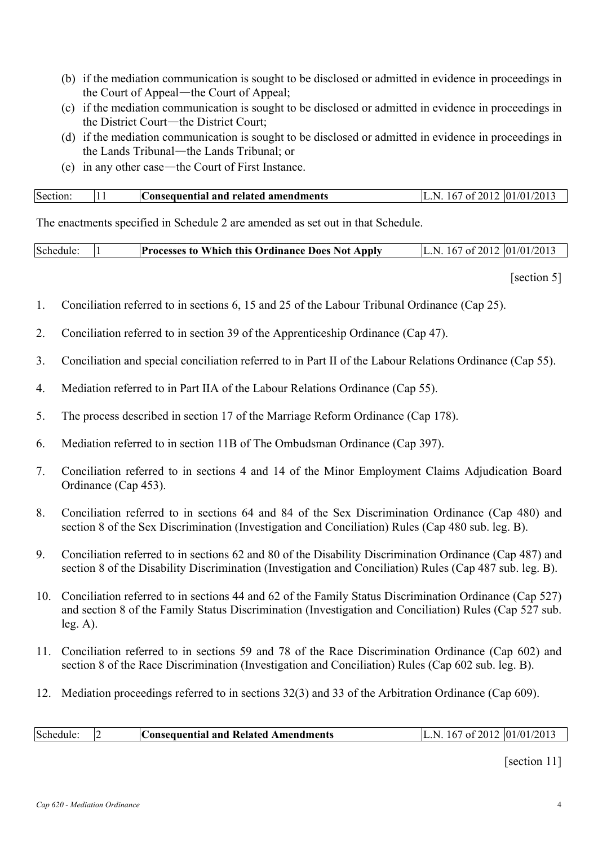- (b) if the mediation communication is sought to be disclosed or admitted in evidence in proceedings in the Court of Appeal—the Court of Appeal;
- (c) if the mediation communication is sought to be disclosed or admitted in evidence in proceedings in the District Court—the District Court;
- (d) if the mediation communication is sought to be disclosed or admitted in evidence in proceedings in the Lands Tribunal—the Lands Tribunal; or
- (e) in any other case—the Court of First Instance.

| Section: | Consequential and related amendments | 167 of 2012 01/01/2013<br>N |  |
|----------|--------------------------------------|-----------------------------|--|
|          |                                      |                             |  |

The enactments specified in Schedule 2 are amended as set out in that Schedule.

| Schedule: |  | <b>Processes to Which this Ordinance Does Not Apply</b> | L.N. 167 of 2012 $ 01/01/2013$ |  |
|-----------|--|---------------------------------------------------------|--------------------------------|--|
|-----------|--|---------------------------------------------------------|--------------------------------|--|

[section 5]

- 1. Conciliation referred to in sections 6, 15 and 25 of the Labour Tribunal Ordinance (Cap 25).
- 2. Conciliation referred to in section 39 of the Apprenticeship Ordinance (Cap 47).
- 3. Conciliation and special conciliation referred to in Part II of the Labour Relations Ordinance (Cap 55).
- 4. Mediation referred to in Part IIA of the Labour Relations Ordinance (Cap 55).
- 5. The process described in section 17 of the Marriage Reform Ordinance (Cap 178).
- 6. Mediation referred to in section 11B of The Ombudsman Ordinance (Cap 397).
- 7. Conciliation referred to in sections 4 and 14 of the Minor Employment Claims Adjudication Board Ordinance (Cap 453).
- 8. Conciliation referred to in sections 64 and 84 of the Sex Discrimination Ordinance (Cap 480) and section 8 of the Sex Discrimination (Investigation and Conciliation) Rules (Cap 480 sub. leg. B).
- 9. Conciliation referred to in sections 62 and 80 of the Disability Discrimination Ordinance (Cap 487) and section 8 of the Disability Discrimination (Investigation and Conciliation) Rules (Cap 487 sub. leg. B).
- 10. Conciliation referred to in sections 44 and 62 of the Family Status Discrimination Ordinance (Cap 527) and section 8 of the Family Status Discrimination (Investigation and Conciliation) Rules (Cap 527 sub.  $leg. A)$ .
- 11. Conciliation referred to in sections 59 and 78 of the Race Discrimination Ordinance (Cap 602) and section 8 of the Race Discrimination (Investigation and Conciliation) Rules (Cap 602 sub. leg. B).
- 12. Mediation proceedings referred to in sections 32(3) and 33 of the Arbitration Ordinance (Cap 609).

|  | Schedule |  | Consequential and Related Amendments | 167 of 2012 $ 01/01/2013$ |
|--|----------|--|--------------------------------------|---------------------------|
|--|----------|--|--------------------------------------|---------------------------|

[section 11]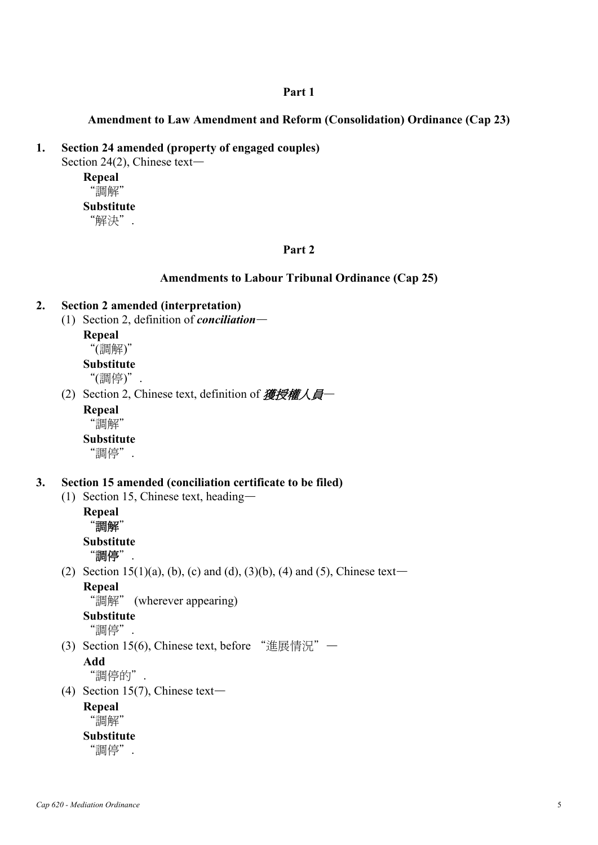### **Part 1**

## **Amendment to Law Amendment and Reform (Consolidation) Ordinance (Cap 23)**

### **1. Section 24 amended (property of engaged couples)**

Section 24(2), Chinese text—

**Repeal**  "調解" **Substitute** 

"解決".

## **Part 2**

### **Amendments to Labour Tribunal Ordinance (Cap 25)**

## **2. Section 2 amended (interpretation)**

(1) Section 2, definition of *conciliation*—

**Repeal** 

# "(調解)"

**Substitute** 

"(調停)".

(2) Section 2, Chinese text, definition of  $\mathcal{H}\!\!\mathcal{H}\!\!\mathcal{H}\!\!\mathcal{H}$ 

**Repeal**  "調解"

**Substitute** 

"調停".

### **3. Section 15 amended (conciliation certificate to be filed)**

(1) Section 15, Chinese text, heading—

**Repeal**  "調解" **Substitute**  "調停".

(2) Section 15(1)(a), (b), (c) and (d), (3)(b), (4) and (5), Chinese text— **Repeal** 

"調解" (wherever appearing)

**Substitute** 

"調停".

(3) Section 15(6), Chinese text, before "進展情況"—

# **Add**

"調停的".

(4) Section 15(7), Chinese text—

**Repeal** 

"調解"

# **Substitute**

"調停".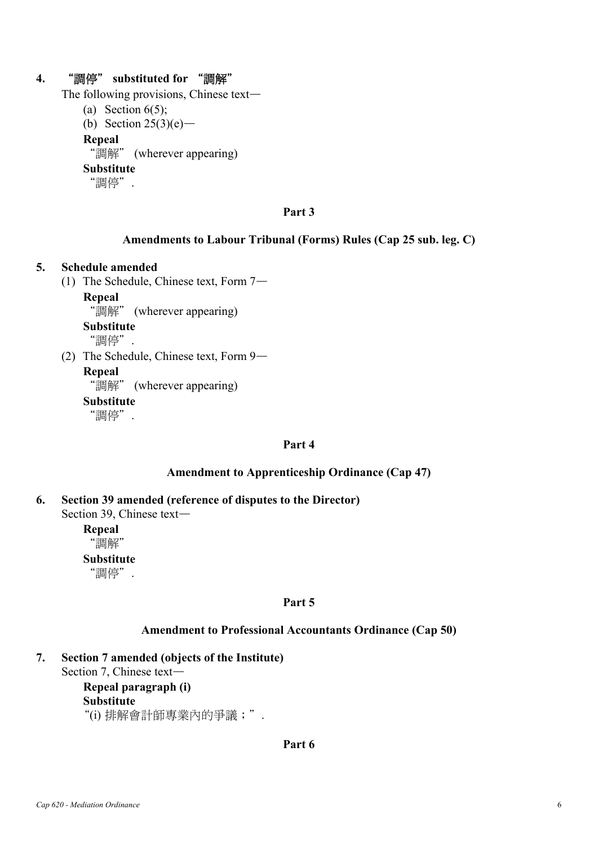## **4.** "調停" **substituted for** "調解"

The following provisions, Chinese text—

- (a) Section  $6(5)$ ;
- (b) Section  $25(3)(e)$ —

**Repeal** 

"調解" (wherever appearing)

**Substitute** 

"調停".

### **Part 3**

## **Amendments to Labour Tribunal (Forms) Rules (Cap 25 sub. leg. C)**

#### **5. Schedule amended**

(1) The Schedule, Chinese text, Form 7—

**Repeal** 

"調解" (wherever appearing)

#### **Substitute**

"調停".

(2) The Schedule, Chinese text, Form 9—

**Repeal** 

"調解" (wherever appearing)

**Substitute** 

"調停".

## **Part 4**

### **Amendment to Apprenticeship Ordinance (Cap 47)**

**6. Section 39 amended (reference of disputes to the Director)**  Section 39, Chinese text—

> **Repeal**  "調解" **Substitute**  "調停".

#### **Part 5**

### **Amendment to Professional Accountants Ordinance (Cap 50)**

**7. Section 7 amended (objects of the Institute)**  Section 7, Chinese text—

**Repeal paragraph (i) Substitute**  "(i) 排解會計師專業內的爭議;".

### **Part 6**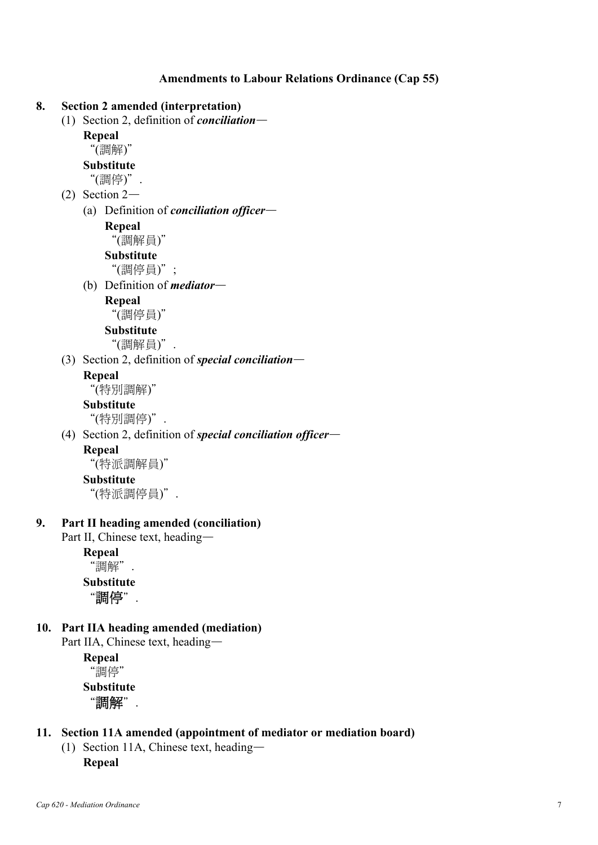**Amendments to Labour Relations Ordinance (Cap 55)** 



**Substitute**  "調停".

**10. Part IIA heading amended (mediation)**  Part IIA, Chinese text, heading—

> **Repeal**  "調停" **Substitute**  "調解".

# **11. Section 11A amended (appointment of mediator or mediation board)**

(1) Section 11A, Chinese text, heading— **Repeal**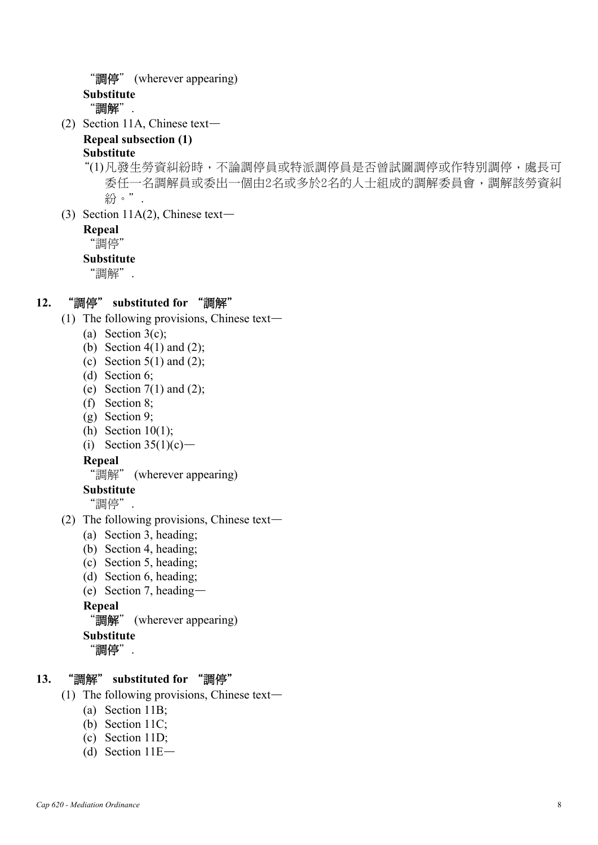```
"調停" (wherever appearing) 
Substitute 
 "調解".
```
(2) Section 11A, Chinese text—

# **Repeal subsection (1)**

# **Substitute**

"(1) 凡發生勞資糾紛時,不論調停員或特派調停員是否曾試圖調停或作特別調停,處長可 委任一名調解員或委出一個由2名或多於2名的人士組成的調解委員會,調解該勞資糾 紛。".

(3) Section 11A(2), Chinese text—

### **Repeal**

"調停"

## **Substitute**

"調解".

# **12.** "調停" **substituted for** "調解"

- (1) The following provisions, Chinese text—
	- (a) Section  $3(c)$ ;
	- (b) Section  $4(1)$  and  $(2)$ ;
	- (c) Section  $5(1)$  and  $(2)$ ;
	- (d) Section 6;
	- (e) Section  $7(1)$  and  $(2)$ :
	- (f) Section 8;
	- (g) Section 9;
	- (h) Section 10(1);
	- (i) Section  $35(1)(c)$ —

## **Repeal**

"調解" (wherever appearing)

**Substitute** 

"調停".

- (2) The following provisions, Chinese text—
	- (a) Section 3, heading;
	- (b) Section 4, heading;
	- (c) Section 5, heading;
	- (d) Section 6, heading;
	- (e) Section 7, heading—

**Repeal** 

```
"調解" (wherever appearing)
```
**Substitute** 

"調停".

# **13.** "調解" **substituted for** "調停"

- (1) The following provisions, Chinese text—
	- (a) Section 11B;
	- (b) Section 11C;
	- (c) Section 11D;
	- (d) Section 11E—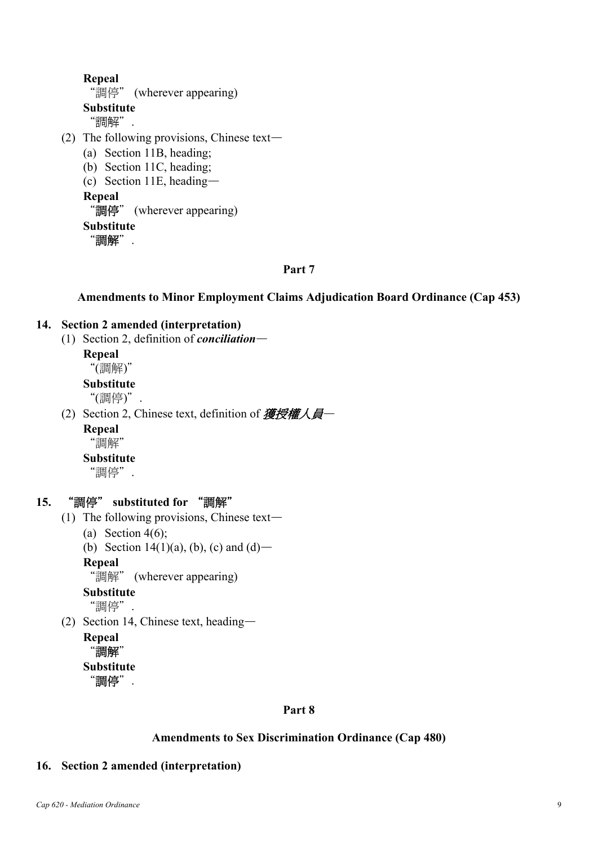**Repeal**  "調停" (wherever appearing) **Substitute**  "調解". (2) The following provisions, Chinese text— (a) Section 11B, heading; (b) Section 11C, heading; (c) Section 11E, heading— **Repeal**  "調停" (wherever appearing) **Substitute**  "調解".

## **Part 7**

**Amendments to Minor Employment Claims Adjudication Board Ordinance (Cap 453)** 

## **14. Section 2 amended (interpretation)**

(1) Section 2, definition of *conciliation*—

### **Repeal**

"(調解)"

**Substitute** 

"(調停)".

(2) Section 2, Chinese text, definition of 獲授權人員—

### **Repeal**

"調解"

## **Substitute**

"調停".

## **15.** "調停" **substituted for** "調解"

- (1) The following provisions, Chinese text—
	- (a) Section  $4(6)$ ;
	- (b) Section 14(1)(a), (b), (c) and (d)—

## **Repeal**

"調解" (wherever appearing)

## **Substitute**

"調停".

(2) Section 14, Chinese text, heading—

```
Repeal 
 "調解"
Substitute
```

```
"調停".
```
# **Part 8**

# **Amendments to Sex Discrimination Ordinance (Cap 480)**

# **16. Section 2 amended (interpretation)**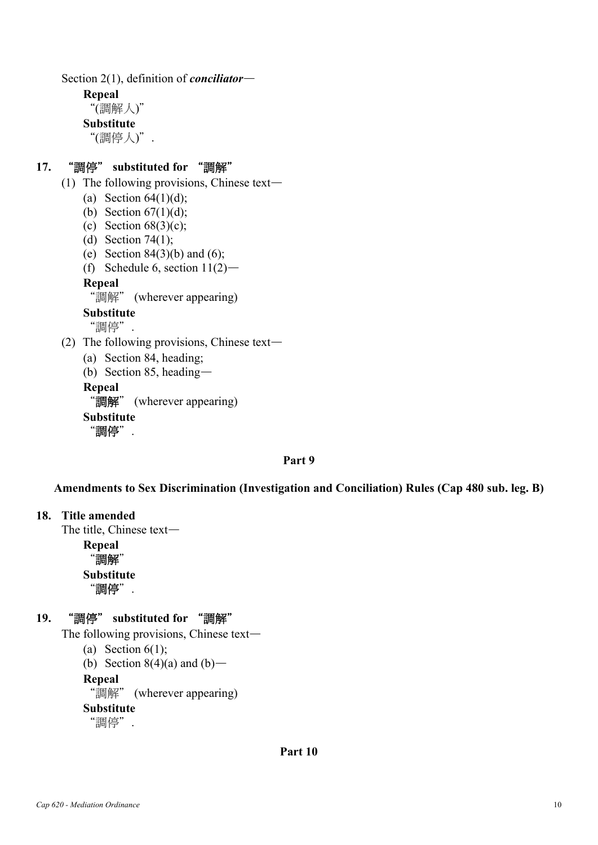Section 2(1), definition of *conciliator*—

**Repeal** 

"(調解人)"

**Substitute** 

"(調停人)".

# **17.** "調停" **substituted for** "調解"

- (1) The following provisions, Chinese text—
	- (a) Section  $64(1)(d)$ ;
	- (b) Section  $67(1)(d)$ ;
	- (c) Section  $68(3)(c)$ ;
	- (d) Section 74(1);
	- (e) Section  $84(3)(b)$  and  $(6)$ ;
	- (f) Schedule 6, section  $11(2)$ —

## **Repeal**

"調解" (wherever appearing)

```
Substitute
```
"調停".

- (2) The following provisions, Chinese text—
	- (a) Section 84, heading;
	- (b) Section 85, heading—

**Repeal** 

```
"調解" (wherever appearing)
```
**Substitute** 

"調停".

# **Part 9**

# **Amendments to Sex Discrimination (Investigation and Conciliation) Rules (Cap 480 sub. leg. B)**

# **18. Title amended**

The title, Chinese text—

**Repeal**  "調解" **Substitute**  "調停".

# **19.** "調停" **substituted for** "調解"

The following provisions, Chinese text—

```
(a) Section 6(1);
```
(b) Section  $8(4)(a)$  and  $(b)$ —

**Repeal** 

"調解" (wherever appearing)

**Substitute** 

"調停".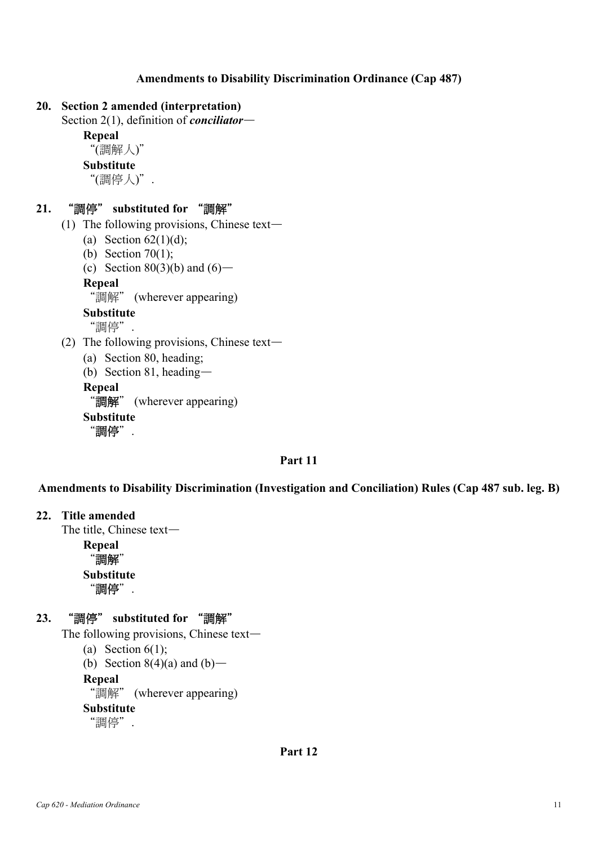## **Amendments to Disability Discrimination Ordinance (Cap 487)**

### **20. Section 2 amended (interpretation)**

```
Section 2(1), definition of conciliator—
```
**Repeal** 

```
"(調解人)"
```
**Substitute** 

```
"(調停人)".
```
## **21.** "調停" **substituted for** "調解"

- (1) The following provisions, Chinese text—
	- (a) Section  $62(1)(d)$ ;
	- (b) Section 70(1);
	- (c) Section 80(3)(b) and  $(6)$ —

**Repeal** 

"調解" (wherever appearing)

```
Substitute
```
"調停".

- (2) The following provisions, Chinese text—
	- (a) Section 80, heading;
	- (b) Section 81, heading—

**Repeal** 

```
"調解" (wherever appearing)
```
**Substitute** 

"調停".

## **Part 11**

**Amendments to Disability Discrimination (Investigation and Conciliation) Rules (Cap 487 sub. leg. B)** 

#### **22. Title amended**

The title, Chinese text—

**Repeal**  "調解" **Substitute**  "調停".

## **23.** "調停" **substituted for** "調解"

The following provisions, Chinese text—

```
(a) Section 6(1);
```
(b) Section  $8(4)(a)$  and  $(b)$ —

**Repeal** 

"調解" (wherever appearing)

**Substitute** 

"調停".

**Part 12**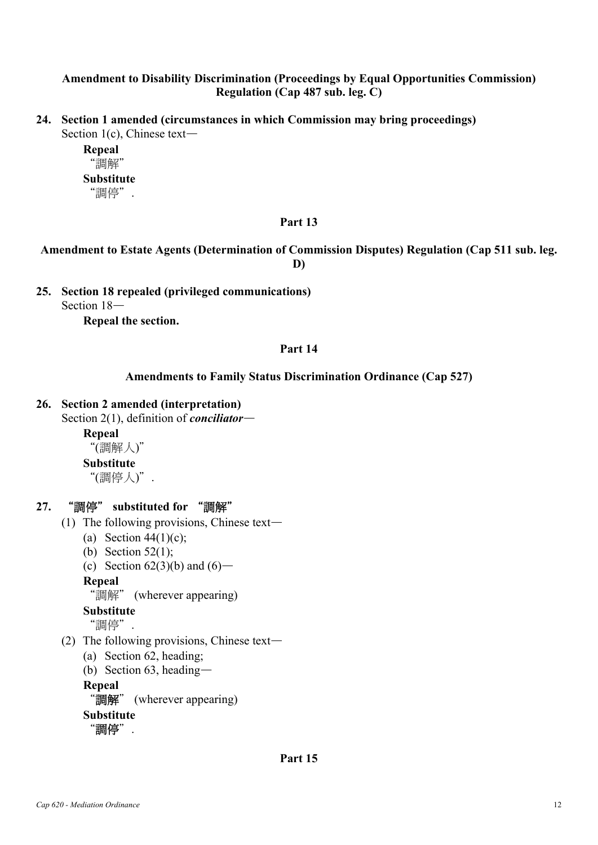## **Amendment to Disability Discrimination (Proceedings by Equal Opportunities Commission) Regulation (Cap 487 sub. leg. C)**

**24. Section 1 amended (circumstances in which Commission may bring proceedings)**  Section 1(c), Chinese text—

> **Repeal**  "調解" **Substitute**  "調停".

## **Part 13**

## **Amendment to Estate Agents (Determination of Commission Disputes) Regulation (Cap 511 sub. leg. D)**

**25. Section 18 repealed (privileged communications)**  Section 18—

**Repeal the section.** 

## **Part 14**

## **Amendments to Family Status Discrimination Ordinance (Cap 527)**

## **26. Section 2 amended (interpretation)**

Section 2(1), definition of *conciliator*—

#### **Repeal**

"(調解人)"

### **Substitute**

"(調停人)".

# **27.** "調停" **substituted for** "調解"

- (1) The following provisions, Chinese text—
	- (a) Section  $44(1)(c)$ ;
	- (b) Section 52(1);
	- (c) Section  $62(3)(b)$  and  $(6)$ —

## **Repeal**

"調解" (wherever appearing)

## **Substitute**

"調停".

- (2) The following provisions, Chinese text—
	- (a) Section 62, heading;
	- (b) Section 63, heading—

# **Repeal**

"調解" (wherever appearing)

```
Substitute
```

```
"調停".
```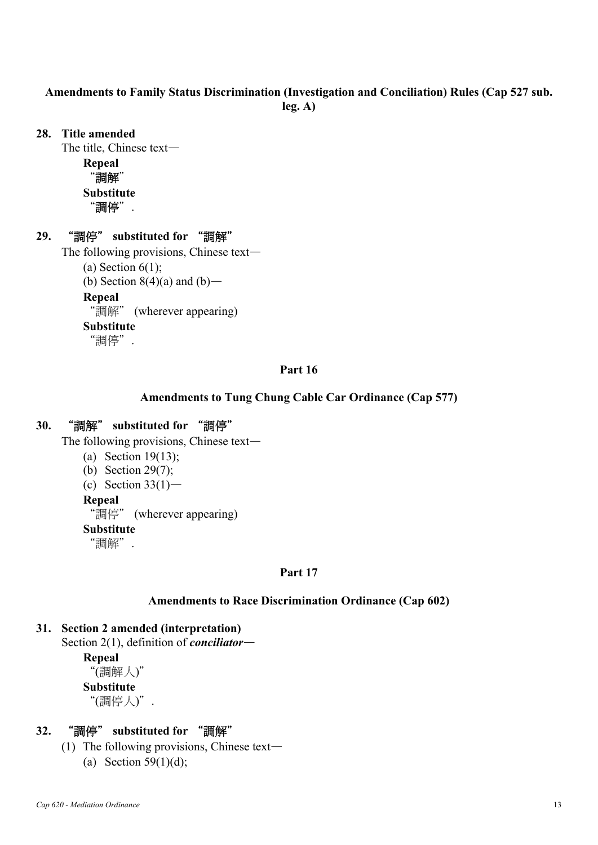## **Amendments to Family Status Discrimination (Investigation and Conciliation) Rules (Cap 527 sub. leg. A)**

### **28. Title amended**

The title, Chinese text—

**Repeal**  "調解" **Substitute** 

"調停".

## **29.** "調停" **substituted for** "調解"

The following provisions, Chinese text—

(a) Section  $6(1)$ ;

(b) Section  $8(4)(a)$  and  $(b)$ —

**Repeal** 

"調解" (wherever appearing)

### **Substitute**

"調停".

## **Part 16**

### **Amendments to Tung Chung Cable Car Ordinance (Cap 577)**

## **30.** "調解" **substituted for** "調停"

The following provisions, Chinese text—

- (a) Section 19(13);
- (b) Section 29(7);
- (c) Section  $33(1)$ —

### **Repeal**

"調停" (wherever appearing)

#### **Substitute**

"調解".

## **Part 17**

## **Amendments to Race Discrimination Ordinance (Cap 602)**

# **31. Section 2 amended (interpretation)**

Section 2(1), definition of *conciliator*—

**Repeal** 

"(調解人)"

**Substitute** 

"(調停人)".

# **32.** "調停" **substituted for** "調解"

- (1) The following provisions, Chinese text—
	- (a) Section 59(1)(d);